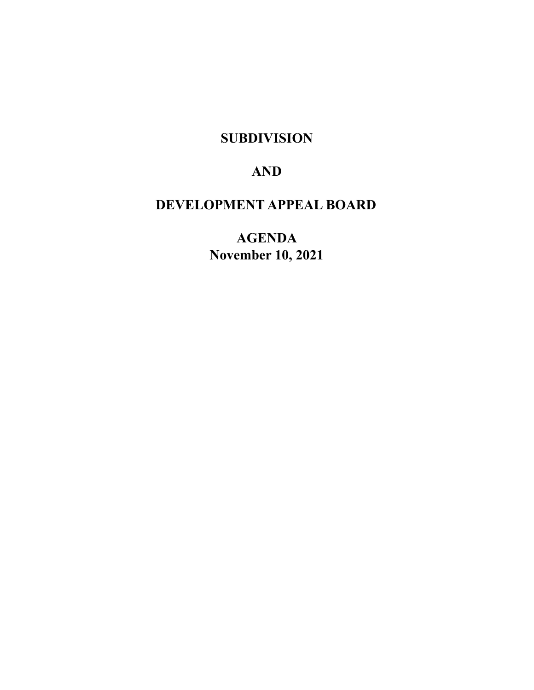# **SUBDIVISION**

# **AND**

# **DEVELOPMENT APPEAL BOARD**

**AGENDA November 10, 2021**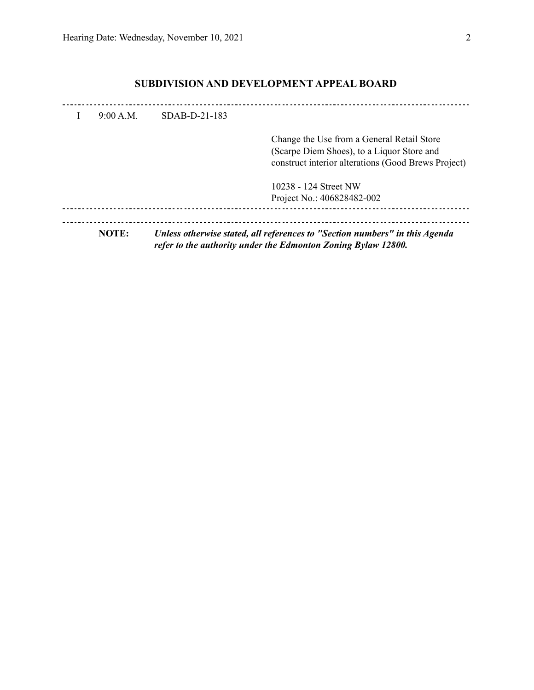## **SUBDIVISION AND DEVELOPMENT APPEAL BOARD**

| <b>NOTE:</b> |                 | Unless otherwise stated, all references to "Section numbers" in this Agenda                                                                     |
|--------------|-----------------|-------------------------------------------------------------------------------------------------------------------------------------------------|
|              |                 | Project No.: 406828482-002                                                                                                                      |
|              |                 | 10238 - 124 Street NW                                                                                                                           |
|              |                 | Change the Use from a General Retail Store<br>(Scarpe Diem Shoes), to a Liquor Store and<br>construct interior alterations (Good Brews Project) |
| 9:00 A.M.    | $SDAB-D-21-183$ |                                                                                                                                                 |
|              |                 |                                                                                                                                                 |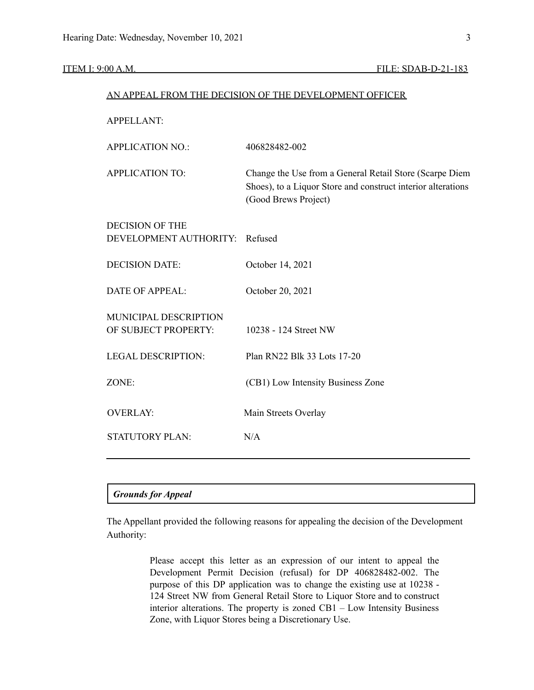#### ITEM I: 9:00 A.M. FILE: SDAB-D-21-183

|                                                  | AN APPEAL FROM THE DECISION OF THE DEVELOPMENT OFFICER                                                                                          |
|--------------------------------------------------|-------------------------------------------------------------------------------------------------------------------------------------------------|
| <b>APPELLANT:</b>                                |                                                                                                                                                 |
| <b>APPLICATION NO.:</b>                          | 406828482-002                                                                                                                                   |
| <b>APPLICATION TO:</b>                           | Change the Use from a General Retail Store (Scarpe Diem<br>Shoes), to a Liquor Store and construct interior alterations<br>(Good Brews Project) |
| <b>DECISION OF THE</b><br>DEVELOPMENT AUTHORITY: | Refused                                                                                                                                         |
| <b>DECISION DATE:</b>                            | October 14, 2021                                                                                                                                |
| <b>DATE OF APPEAL:</b>                           | October 20, 2021                                                                                                                                |
| MUNICIPAL DESCRIPTION<br>OF SUBJECT PROPERTY:    | 10238 - 124 Street NW                                                                                                                           |
| <b>LEGAL DESCRIPTION:</b>                        | Plan RN22 Blk 33 Lots 17-20                                                                                                                     |
| ZONE:                                            | (CB1) Low Intensity Business Zone                                                                                                               |
| <b>OVERLAY:</b>                                  | Main Streets Overlay                                                                                                                            |
| <b>STATUTORY PLAN:</b>                           | N/A                                                                                                                                             |
|                                                  |                                                                                                                                                 |

#### *Grounds for Appeal*

The Appellant provided the following reasons for appealing the decision of the Development Authority:

> Please accept this letter as an expression of our intent to appeal the Development Permit Decision (refusal) for DP 406828482-002. The purpose of this DP application was to change the existing use at 10238 - 124 Street NW from General Retail Store to Liquor Store and to construct interior alterations. The property is zoned CB1 – Low Intensity Business Zone, with Liquor Stores being a Discretionary Use.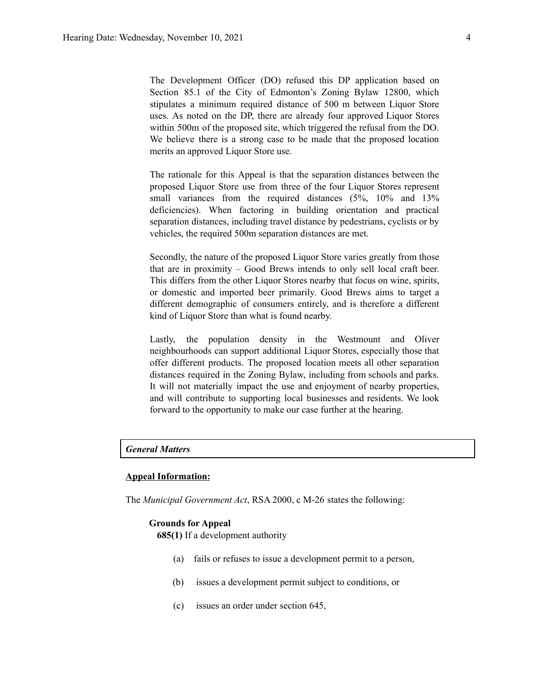The Development Officer (DO) refused this DP application based on Section 85.1 of the City of Edmonton's Zoning Bylaw 12800, which stipulates a minimum required distance of 500 m between Liquor Store uses. As noted on the DP, there are already four approved Liquor Stores within 500m of the proposed site, which triggered the refusal from the DO. We believe there is a strong case to be made that the proposed location merits an approved Liquor Store use.

The rationale for this Appeal is that the separation distances between the proposed Liquor Store use from three of the four Liquor Stores represent small variances from the required distances (5%, 10% and 13% deficiencies). When factoring in building orientation and practical separation distances, including travel distance by pedestrians, cyclists or by vehicles, the required 500m separation distances are met.

Secondly, the nature of the proposed Liquor Store varies greatly from those that are in proximity – Good Brews intends to only sell local craft beer. This differs from the other Liquor Stores nearby that focus on wine, spirits, or domestic and imported beer primarily. Good Brews aims to target a different demographic of consumers entirely, and is therefore a different kind of Liquor Store than what is found nearby.

Lastly, the population density in the Westmount and Oliver neighbourhoods can support additional Liquor Stores, especially those that offer different products. The proposed location meets all other separation distances required in the Zoning Bylaw, including from schools and parks. It will not materially impact the use and enjoyment of nearby properties, and will contribute to supporting local businesses and residents. We look forward to the opportunity to make our case further at the hearing.

#### *General Matters*

### **Appeal Information:**

The *Municipal Government Act*, RSA 2000, c M-26 states the following:

#### **Grounds for Appeal**

**685(1)** If a development authority

- (a) fails or refuses to issue a development permit to a person,
- (b) issues a development permit subject to conditions, or
- (c) issues an order under section 645,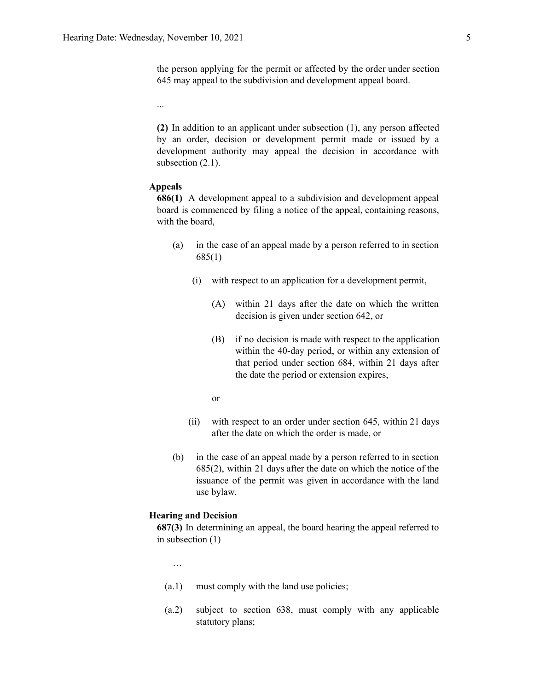the person applying for the permit or affected by the order under section 645 may appeal to the subdivision and development appeal board.

...

**(2)** In addition to an applicant under subsection (1), any person affected by an order, decision or development permit made or issued by a development authority may appeal the decision in accordance with subsection  $(2.1)$ .

#### **Appeals**

**686(1)** A development appeal to a subdivision and development appeal board is commenced by filing a notice of the appeal, containing reasons, with the board,

- (a) in the case of an appeal made by a person referred to in section 685(1)
	- (i) with respect to an application for a development permit,
		- (A) within 21 days after the date on which the written decision is given under section 642, or
		- (B) if no decision is made with respect to the application within the 40-day period, or within any extension of that period under section 684, within 21 days after the date the period or extension expires,
		- or
	- (ii) with respect to an order under section 645, within 21 days after the date on which the order is made, or
- (b) in the case of an appeal made by a person referred to in section 685(2), within 21 days after the date on which the notice of the issuance of the permit was given in accordance with the land use bylaw.

#### **Hearing and Decision**

**687(3)** In determining an appeal, the board hearing the appeal referred to in subsection (1)

…

- (a.1) must comply with the land use policies;
- (a.2) subject to section 638, must comply with any applicable statutory plans;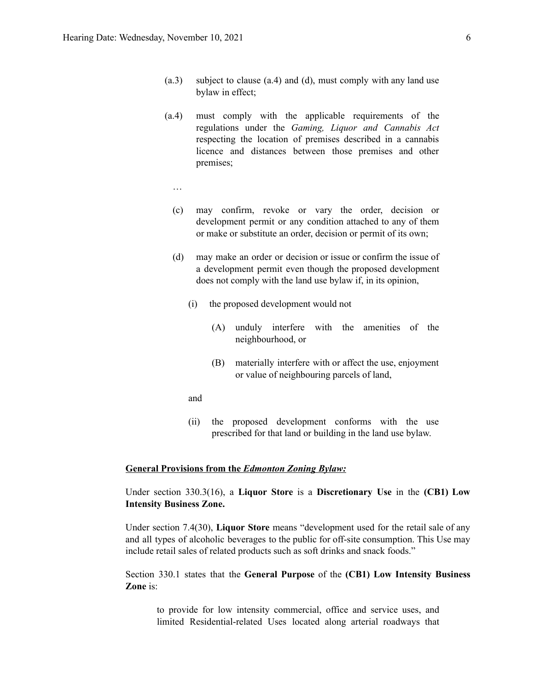- (a.3) subject to clause (a.4) and (d), must comply with any land use bylaw in effect;
- (a.4) must comply with the applicable requirements of the regulations under the *Gaming, Liquor and Cannabis Act* respecting the location of premises described in a cannabis licence and distances between those premises and other premises;
- …
- (c) may confirm, revoke or vary the order, decision or development permit or any condition attached to any of them or make or substitute an order, decision or permit of its own;
- (d) may make an order or decision or issue or confirm the issue of a development permit even though the proposed development does not comply with the land use bylaw if, in its opinion,
	- (i) the proposed development would not
		- (A) unduly interfere with the amenities of the neighbourhood, or
		- (B) materially interfere with or affect the use, enjoyment or value of neighbouring parcels of land,
	- and
	- (ii) the proposed development conforms with the use prescribed for that land or building in the land use bylaw.

### **General Provisions from the** *Edmonton Zoning Bylaw:*

Under section 330.3(16), a **Liquor Store** is a **Discretionary Use** in the **(CB1) Low Intensity Business Zone.**

Under section 7.4(30), **Liquor Store** means "development used for the retail sale of any and all types of alcoholic beverages to the public for off-site consumption. This Use may include retail sales of related products such as soft drinks and snack foods."

Section 330.1 states that the **General Purpose** of the **(CB1) Low Intensity Business Zone** is:

to provide for low intensity commercial, office and service uses, and limited Residential-related Uses located along arterial roadways that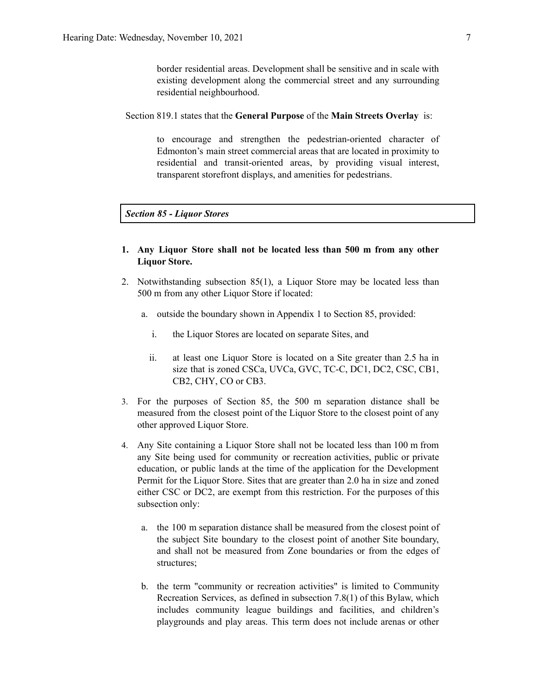border residential areas. Development shall be sensitive and in scale with existing development along the commercial street and any surrounding residential neighbourhood.

Section 819.1 states that the **General Purpose** of the **Main Streets Overlay** is:

to encourage and strengthen the pedestrian-oriented character of Edmonton's main street commercial areas that are located in proximity to residential and transit-oriented areas, by providing visual interest, transparent storefront displays, and amenities for pedestrians.

*Section 85 - Liquor Stores*

- **1. Any Liquor Store shall not be located less than [500](https://webdocs.edmonton.ca/InfraPlan/zoningbylaw/ZoningBylaw/Measurements/im500.htm) m from any other Liquor Store.**
- 2. Notwithstanding subsection 85(1), a Liquor Store may be located less than [500](https://webdocs.edmonton.ca/InfraPlan/zoningbylaw/ZoningBylaw/Measurements/im500.htm) m from any other Liquor Store if located:
	- a. outside the boundary shown in Appendix 1 to Section 85, provided:
		- i. the Liquor Stores are located on separate Sites, and
		- ii. at least one Liquor Store is located on a Site greater than 2.5 ha in size that is zoned [CSCa](https://webdocs.edmonton.ca/InfraPlan/zoningbylaw/ZoningBylaw/Part2/Special_Areas/960_5_(CSCa)_Ambleside_Shopping_Centre_Zone.htm), [UVCa,](https://webdocs.edmonton.ca/InfraPlan/zoningbylaw/ZoningBylaw/Part2/Special_Areas/960.6_(UVCa)_Ambleside_Urban_Village_Commercial_Zone.htm) [GVC,](https://webdocs.edmonton.ca/InfraPlan/zoningbylaw/ZoningBylaw/Part2/Special_Areas/940_6_(GVC)_Griesbach_Village_Centre_Zone.htm) [TC-C](https://webdocs.edmonton.ca/InfraPlan/zoningbylaw/ZoningBylaw/Part2/Special_Areas/990_4_(TC-C)_Heritage_Valley_Town_Centre_Commercial_Zone.htm), [DC1](https://webdocs.edmonton.ca/InfraPlan/zoningbylaw/ZoningBylaw/Part2/Direct/710_(DC1)_Direct_Development_Control_Provision.htm), [DC2,](https://webdocs.edmonton.ca/InfraPlan/zoningbylaw/ZoningBylaw/Part2/Direct/720_(DC2)_Site_Specific_Development_Control_Provision.htm) [CSC,](https://webdocs.edmonton.ca/InfraPlan/zoningbylaw/ZoningBylaw/Part2/Commercial/320_(CSC)_Shopping_Centre_Zone.htm) [CB1,](https://webdocs.edmonton.ca/InfraPlan/zoningbylaw/ZoningBylaw/Part2/Commercial/330_(CB1)_Low_Intensity_Business_Zone.htm) [CB2](https://webdocs.edmonton.ca/InfraPlan/zoningbylaw/ZoningBylaw/Part2/Commercial/340_(CB2)_General_Business_Zone.htm), [CHY,](https://webdocs.edmonton.ca/InfraPlan/zoningbylaw/ZoningBylaw/Part2/Commercial/350_(CHY)_Highway_Corridor_Zone.htm) [CO](https://webdocs.edmonton.ca/InfraPlan/zoningbylaw/ZoningBylaw/Part2/Commercial/360_(CO)_Commercial_Office_Zone.htm) or [CB3](https://webdocs.edmonton.ca/InfraPlan/zoningbylaw/ZoningBylaw/Part2/Commercial/370_(CB3)_Commercial_Mixed_Business_Zone.htm).
- 3. For the purposes of Section 85, the [500](https://webdocs.edmonton.ca/InfraPlan/zoningbylaw/ZoningBylaw/Measurements/im500.htm) m separation distance shall be measured from the closest point of the Liquor Store to the closest point of any other approved Liquor Store.
- 4. Any Site containing a Liquor Store shall not be located less than 100 m from any Site being used for community or recreation activities, public or private education, or public lands at the time of the application for the Development Permit for the Liquor Store. Sites that are greater than 2.0 ha in size and zoned either CSC or DC2, are exempt from this restriction. For the purposes of this subsection only:
	- a. the 100 m separation distance shall be measured from the closest point of the subject Site boundary to the closest point of another Site boundary, and shall not be measured from Zone boundaries or from the edges of structures;
	- b. the term "community or recreation activities" is limited to Community Recreation Services, as defined in subsection 7.8(1) of this Bylaw, which includes community league buildings and facilities, and children's playgrounds and play areas. This term does not include arenas or other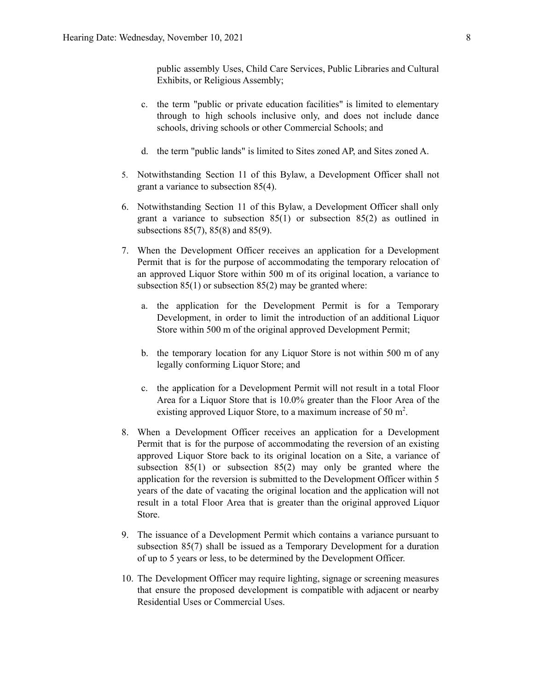public assembly Uses, Child Care Services, Public Libraries and Cultural Exhibits, or Religious Assembly;

- c. the term "public or private education facilities" is limited to elementary through to high schools inclusive only, and does not include dance schools, driving schools or other Commercial Schools; and
- d. the term "public lands" is limited to Sites zoned AP, and Sites zoned A.
- 5. Notwithstanding Section 11 of this Bylaw, a Development Officer shall not grant a variance to subsection 85(4).
- 6. Notwithstanding Section 11 of this Bylaw, a Development Officer shall only grant a variance to subsection 85(1) or subsection 85(2) as outlined in subsections 85(7), 85(8) and 85(9).
- 7. When the Development Officer receives an application for a Development Permit that is for the purpose of accommodating the temporary relocation of an approved Liquor Store within 500 m of its original location, a variance to subsection  $85(1)$  or subsection  $85(2)$  may be granted where:
	- a. the application for the Development Permit is for a Temporary Development, in order to limit the introduction of an additional Liquor Store within [500](https://webdocs.edmonton.ca/InfraPlan/zoningbylaw/ZoningBylaw/Measurements/im500.htm) m of the original approved Development Permit;
	- b. the temporary location for any Liquor Store is not within [500](https://webdocs.edmonton.ca/InfraPlan/zoningbylaw/ZoningBylaw/Measurements/im500.htm) m of any legally conforming Liquor Store; and
	- c. the application for a Development Permit will not result in a total Floor Area for a Liquor Store that is 10.0% greater than the Floor Area of the existing approved Liquor Store, to a maximum increase of [50](https://webdocs.edmonton.ca/InfraPlan/zoningbylaw/ZoningBylaw/Measurements/ia50.htm) m<sup>2</sup>.
- 8. When a Development Officer receives an application for a Development Permit that is for the purpose of accommodating the reversion of an existing approved Liquor Store back to its original location on a Site, a variance of subsection 85(1) or subsection 85(2) may only be granted where the application for the reversion is submitted to the Development Officer within 5 years of the date of vacating the original location and the application will not result in a total Floor Area that is greater than the original approved Liquor Store.
- 9. The issuance of a Development Permit which contains a variance pursuant to subsection 85(7) shall be issued as a Temporary Development for a duration of up to 5 years or less, to be determined by the Development Officer.
- 10. The Development Officer may require lighting, signage or screening measures that ensure the proposed development is compatible with adjacent or nearby Residential Uses or Commercial Uses.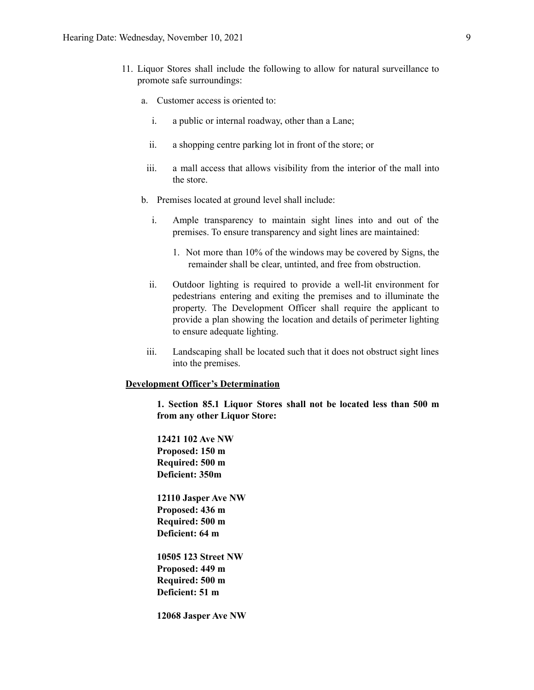- 11. Liquor Stores shall include the following to allow for natural surveillance to promote safe surroundings:
	- a. Customer access is oriented to:
		- i. a public or internal roadway, other than a Lane;
		- ii. a shopping centre parking lot in front of the store; or
		- iii. a mall access that allows visibility from the interior of the mall into the store.
	- b. Premises located at ground level shall include:
		- i. Ample transparency to maintain sight lines into and out of the premises. To ensure transparency and sight lines are maintained:
			- 1. Not more than 10% of the windows may be covered by Signs, the remainder shall be clear, untinted, and free from obstruction.
		- ii. Outdoor lighting is required to provide a well-lit environment for pedestrians entering and exiting the premises and to illuminate the property. The Development Officer shall require the applicant to provide a plan showing the location and details of perimeter lighting to ensure adequate lighting.
	- iii. Landscaping shall be located such that it does not obstruct sight lines into the premises.

#### **Development Officer's Determination**

**1. Section 85.1 Liquor Stores shall not be located less than 500 m from any other Liquor Store:**

**12421 102 Ave NW Proposed: 150 m Required: 500 m Deficient: 350m**

**12110 Jasper Ave NW Proposed: 436 m Required: 500 m Deficient: 64 m**

**10505 123 Street NW Proposed: 449 m Required: 500 m Deficient: 51 m**

**12068 Jasper Ave NW**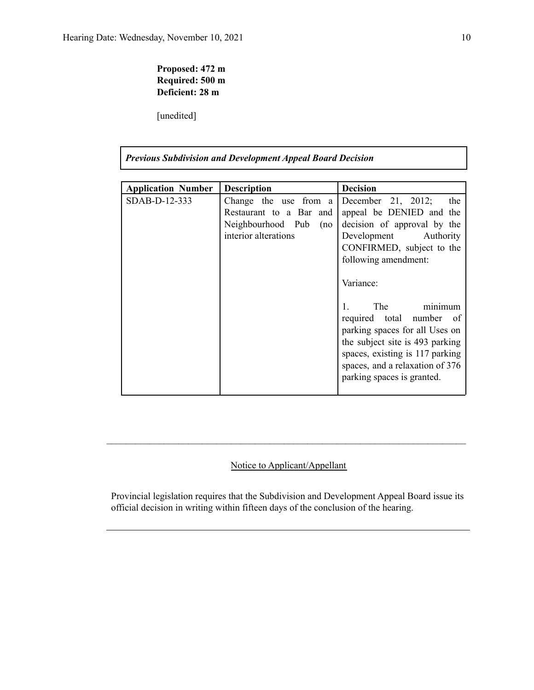### **Proposed: 472 m Required: 500 m Deficient: 28 m**

[unedited]

| <b>Previous Subdivision and Development Appeal Board Decision</b> |                                                                                                   |                                                                                                                                                                                                                                                                                                                                                                                                             |  |  |  |  |  |  |
|-------------------------------------------------------------------|---------------------------------------------------------------------------------------------------|-------------------------------------------------------------------------------------------------------------------------------------------------------------------------------------------------------------------------------------------------------------------------------------------------------------------------------------------------------------------------------------------------------------|--|--|--|--|--|--|
| <b>Application Number</b>                                         | <b>Description</b>                                                                                | <b>Decision</b>                                                                                                                                                                                                                                                                                                                                                                                             |  |  |  |  |  |  |
| SDAB-D-12-333                                                     | Change the use from a<br>Restaurant to a Bar and<br>Neighbourhood Pub (no<br>interior alterations | December 21, 2012; the<br>appeal be DENIED and the<br>decision of approval by the<br>Development Authority<br>CONFIRMED, subject to the<br>following amendment:<br>Variance:<br>The minimum<br>$1_{-}$<br>required total number of<br>parking spaces for all Uses on<br>the subject site is 493 parking<br>spaces, existing is 117 parking<br>spaces, and a relaxation of 376<br>parking spaces is granted. |  |  |  |  |  |  |

### Notice to Applicant/Appellant

 $\mathcal{L}_\text{max} = \frac{1}{2} \sum_{i=1}^n \mathcal{L}_\text{max} = \frac{1}{2} \sum_{i=1}^n \mathcal{L}_\text{max} = \frac{1}{2} \sum_{i=1}^n \mathcal{L}_\text{max} = \frac{1}{2} \sum_{i=1}^n \mathcal{L}_\text{max} = \frac{1}{2} \sum_{i=1}^n \mathcal{L}_\text{max} = \frac{1}{2} \sum_{i=1}^n \mathcal{L}_\text{max} = \frac{1}{2} \sum_{i=1}^n \mathcal{L}_\text{max} = \frac{1}{2} \sum_{i=$ 

Provincial legislation requires that the Subdivision and Development Appeal Board issue its official decision in writing within fifteen days of the conclusion of the hearing.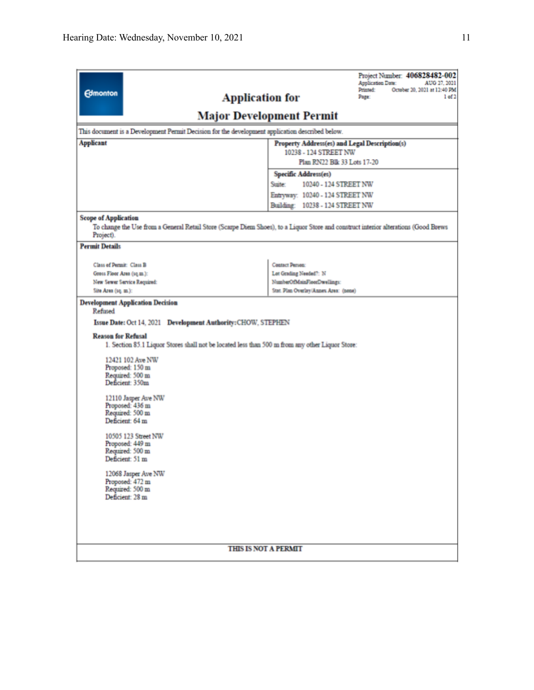| <b>Edmonton</b><br><b>Application for</b>                                                       | Project Number: 406828482-002<br><b>Application Date:</b><br>AUG 27, 2021<br><b>Printed:</b><br>October 20, 2021 at 12:40 PM<br>1 of 2<br>Page: |  |  |  |  |  |  |
|-------------------------------------------------------------------------------------------------|-------------------------------------------------------------------------------------------------------------------------------------------------|--|--|--|--|--|--|
| <b>Major Development Permit</b>                                                                 |                                                                                                                                                 |  |  |  |  |  |  |
| This document is a Development Permit Decision for the development application described below. |                                                                                                                                                 |  |  |  |  |  |  |
| <b>Applicant</b>                                                                                | Property Address(es) and Legal Description(s)                                                                                                   |  |  |  |  |  |  |
| 10238 - 124 STREET NW                                                                           |                                                                                                                                                 |  |  |  |  |  |  |
|                                                                                                 | Plan RN22 Blk 33 Lots 17-20                                                                                                                     |  |  |  |  |  |  |
|                                                                                                 | Specific Address(es)                                                                                                                            |  |  |  |  |  |  |
|                                                                                                 | 10240 - 124 STREET NW<br>Suite:                                                                                                                 |  |  |  |  |  |  |
|                                                                                                 | Entryway: 10240 - 124 STREET NW<br>Building: 10238 - 124 STREET NW                                                                              |  |  |  |  |  |  |
|                                                                                                 |                                                                                                                                                 |  |  |  |  |  |  |
| <b>Scope of Application</b>                                                                     | To change the Use from a General Retail Store (Scarpe Diem Shoes), to a Liquor Store and construct interior alterations (Good Brews             |  |  |  |  |  |  |
| Project).                                                                                       |                                                                                                                                                 |  |  |  |  |  |  |
| <b>Permit Details</b>                                                                           |                                                                                                                                                 |  |  |  |  |  |  |
| Class of Permit: Class B                                                                        | Contact Person:                                                                                                                                 |  |  |  |  |  |  |
| Gross Floor Area (sq.m.):                                                                       | Lot Grading Needed?: N                                                                                                                          |  |  |  |  |  |  |
| New Sewer Service Required:<br>Site Area (sq. m.):                                              | NumberOfMainFloorDwellings:<br>Stat. Plan Overlay/Annex Area: (none)                                                                            |  |  |  |  |  |  |
|                                                                                                 |                                                                                                                                                 |  |  |  |  |  |  |
| <b>Development Application Decision</b><br>Refused                                              |                                                                                                                                                 |  |  |  |  |  |  |
| Issue Date: Oct 14, 2021 Development Authority: CHOW, STEPHEN                                   |                                                                                                                                                 |  |  |  |  |  |  |
| <b>Reason for Refusal</b>                                                                       |                                                                                                                                                 |  |  |  |  |  |  |
| 1. Section 85.1 Liquor Stores shall not be located less than 500 m from any other Liquor Store: |                                                                                                                                                 |  |  |  |  |  |  |
| 12421 102 Ave NW                                                                                |                                                                                                                                                 |  |  |  |  |  |  |
| Proposed: 150 m                                                                                 |                                                                                                                                                 |  |  |  |  |  |  |
| Required: 500 m<br>Deficient: 350m                                                              |                                                                                                                                                 |  |  |  |  |  |  |
|                                                                                                 |                                                                                                                                                 |  |  |  |  |  |  |
| 12110 Jasper Ave NW<br>Proposed: 436 m                                                          |                                                                                                                                                 |  |  |  |  |  |  |
| Required: 500 m                                                                                 |                                                                                                                                                 |  |  |  |  |  |  |
| Deficient: 64 m                                                                                 |                                                                                                                                                 |  |  |  |  |  |  |
| 10505 123 Street NW                                                                             |                                                                                                                                                 |  |  |  |  |  |  |
| Proposed: 449 m<br>Required: 500 m                                                              |                                                                                                                                                 |  |  |  |  |  |  |
| Deficient: 51 m                                                                                 |                                                                                                                                                 |  |  |  |  |  |  |
| 12068 Jasper Ave NW                                                                             |                                                                                                                                                 |  |  |  |  |  |  |
| Proposed: 472 m                                                                                 |                                                                                                                                                 |  |  |  |  |  |  |
| Required: 500 m<br>Deficient: 28 m                                                              |                                                                                                                                                 |  |  |  |  |  |  |
|                                                                                                 |                                                                                                                                                 |  |  |  |  |  |  |
|                                                                                                 |                                                                                                                                                 |  |  |  |  |  |  |
|                                                                                                 |                                                                                                                                                 |  |  |  |  |  |  |
| <b>THIS IS NOT A PERMIT</b>                                                                     |                                                                                                                                                 |  |  |  |  |  |  |
|                                                                                                 |                                                                                                                                                 |  |  |  |  |  |  |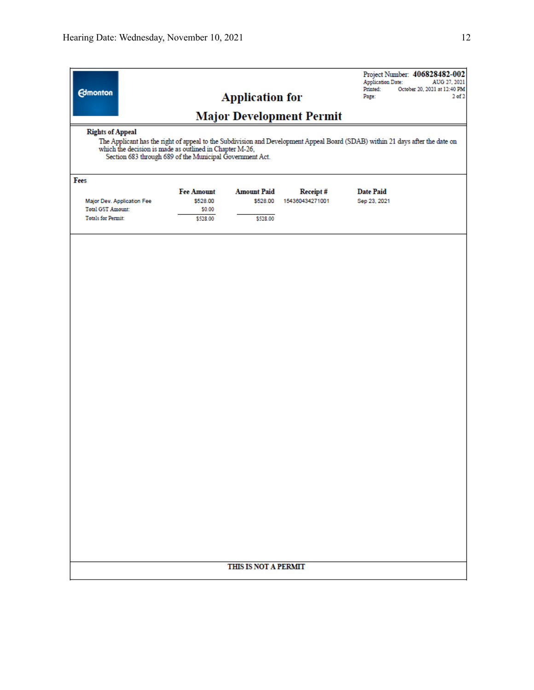| which the decision is made as outlined in Chapter M-26,<br>Section 683 through 689 of the Municipal Government Act.<br>Fees<br><b>Amount Paid</b><br><b>Date Paid</b><br><b>Fee Amount</b><br>Receipt#<br>\$528.00<br>154360434271001<br>Major Dev. Application Fee<br>\$528.00<br>Sep 23, 2021<br><b>Total GST Amount:</b><br>\$0.00<br><b>Totals for Permit:</b><br>\$528.00<br>\$528.00<br>THIS IS NOT A PERMIT | <b>Edmonton</b><br><b>Rights of Appeal</b><br>The Applicant has the right of appeal to the Subdivision and Development Appeal Board (SDAB) within 21 days after the date on | <b>Application for</b> | <b>Major Development Permit</b> | <b>Application Date:</b><br>Printed:<br>Page: | Project Number: 406828482-002<br>AUG 27, 2021<br>October 20, 2021 at 12:40 PM<br>$2$ of $2$ |
|--------------------------------------------------------------------------------------------------------------------------------------------------------------------------------------------------------------------------------------------------------------------------------------------------------------------------------------------------------------------------------------------------------------------|-----------------------------------------------------------------------------------------------------------------------------------------------------------------------------|------------------------|---------------------------------|-----------------------------------------------|---------------------------------------------------------------------------------------------|
|                                                                                                                                                                                                                                                                                                                                                                                                                    |                                                                                                                                                                             |                        |                                 |                                               |                                                                                             |
|                                                                                                                                                                                                                                                                                                                                                                                                                    |                                                                                                                                                                             |                        |                                 |                                               |                                                                                             |
|                                                                                                                                                                                                                                                                                                                                                                                                                    |                                                                                                                                                                             |                        |                                 |                                               |                                                                                             |
|                                                                                                                                                                                                                                                                                                                                                                                                                    |                                                                                                                                                                             |                        |                                 |                                               |                                                                                             |
|                                                                                                                                                                                                                                                                                                                                                                                                                    |                                                                                                                                                                             |                        |                                 |                                               |                                                                                             |
|                                                                                                                                                                                                                                                                                                                                                                                                                    |                                                                                                                                                                             |                        |                                 |                                               |                                                                                             |
|                                                                                                                                                                                                                                                                                                                                                                                                                    |                                                                                                                                                                             |                        |                                 |                                               |                                                                                             |